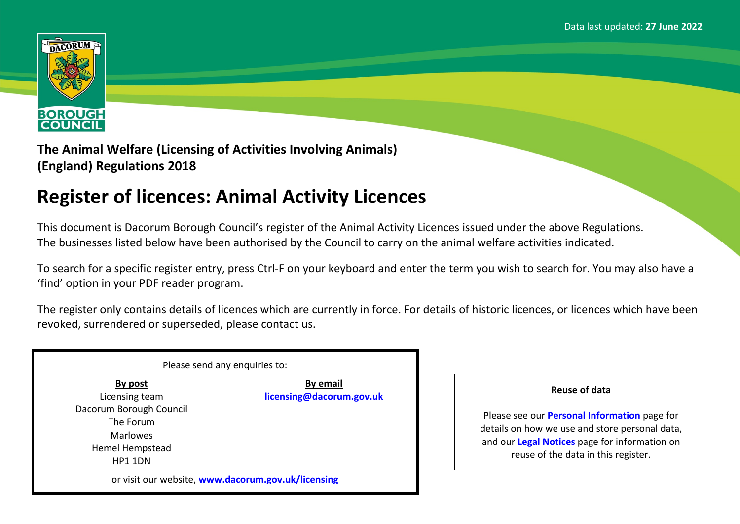

**The Animal Welfare (Licensing of Activities Involving Animals) (England) Regulations 2018**

# **Register of licences: Animal Activity Licences**

This document is Dacorum Borough Council's register of the Animal Activity Licences issued under the above Regulations. The businesses listed below have been authorised by the Council to carry on the animal welfare activities indicated.

To search for a specific register entry, press Ctrl-F on your keyboard and enter the term you wish to search for. You may also have a 'find' option in your PDF reader program.

The register only contains details of licences which are currently in force. For details of historic licences, or licences which have been revoked, surrendered or superseded, please contact us.

|                                                                                       | Please send any enquiries to:                      |                                                                                                                                      |
|---------------------------------------------------------------------------------------|----------------------------------------------------|--------------------------------------------------------------------------------------------------------------------------------------|
| By post<br>Licensing team                                                             | By email<br>licensing@dacorum.gov.uk               | <b>Reuse of data</b>                                                                                                                 |
| Dacorum Borough Council<br>The Forum<br><b>Marlowes</b><br>Hemel Hempstead<br>HP1 1DN |                                                    | Please see our <b>Personal Infor</b><br>details on how we use and sto<br>and our Legal Notices page for<br>reuse of the data in this |
|                                                                                       | or visit our website, www.dacorum.gov.uk/licensing |                                                                                                                                      |

Please see our **[Personal](http://www.dacorum.gov.uk/home/open-data/personal-information) [Information](http://www.dacorum.gov.uk/home/open-data/personal-information)** page for details on how we use and store personal data, and our **[Legal](http://www.dacorum.gov.uk/home/map-of-dacorum/legal-disclaimers) [Notices](http://www.dacorum.gov.uk/home/map-of-dacorum/legal-disclaimers)** page for information on reuse of the data in this register.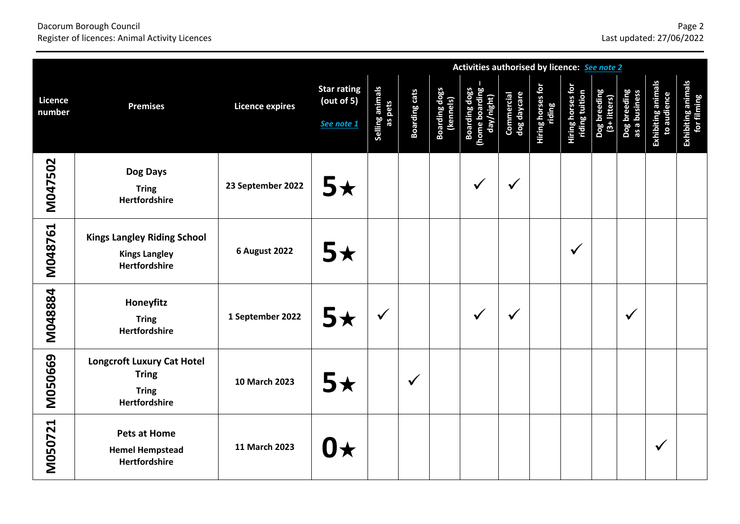## Page 2<br>Page 2<br>Register of licences: Animal Activity Licences Register of licences: Animal Activity Licences

|                   |                                                                                    |                        |                                                |                            |                      |                                   | Activities authorised by licence: See note 2    |                                  |                             |                                            |                             |                               |                                   |                                          |
|-------------------|------------------------------------------------------------------------------------|------------------------|------------------------------------------------|----------------------------|----------------------|-----------------------------------|-------------------------------------------------|----------------------------------|-----------------------------|--------------------------------------------|-----------------------------|-------------------------------|-----------------------------------|------------------------------------------|
| Licence<br>number | <b>Premises</b>                                                                    | <b>Licence expires</b> | <b>Star rating</b><br>(out of 5)<br>See note 1 | Selling animals<br>as pets | <b>Boarding cats</b> | <b>Boarding dogs</b><br>(kennels) | Boarding dogs<br>(home boarding -<br>day/night) | <b>Commercial</b><br>dog daycare | Hiring horses for<br>riding | <b>Hiring horses for</b><br>riding tuition | Dog breeding<br>(3+litters) | Dog breeding<br>as a business | Exhibiting animals<br>to audience | <b>Exhibiting animals</b><br>for filming |
| <b>M047502</b>    | Dog Days<br><b>Tring</b><br>Hertfordshire                                          | 23 September 2022      | $5\star$                                       |                            |                      |                                   |                                                 | $\checkmark$                     |                             |                                            |                             |                               |                                   |                                          |
| M048761           | <b>Kings Langley Riding School</b><br><b>Kings Langley</b><br>Hertfordshire        | <b>6 August 2022</b>   | $5\star$                                       |                            |                      |                                   |                                                 |                                  |                             | $\checkmark$                               |                             |                               |                                   |                                          |
| M048884           | Honeyfitz<br><b>Tring</b><br>Hertfordshire                                         | 1 September 2022       | $5\star$                                       | $\checkmark$               |                      |                                   |                                                 | $\checkmark$                     |                             |                                            |                             | $\checkmark$                  |                                   |                                          |
| M050669           | <b>Longcroft Luxury Cat Hotel</b><br><b>Tring</b><br><b>Tring</b><br>Hertfordshire | 10 March 2023          | $5\star$                                       |                            | $\checkmark$         |                                   |                                                 |                                  |                             |                                            |                             |                               |                                   |                                          |
| M050721           | <b>Pets at Home</b><br><b>Hemel Hempstead</b><br><b>Hertfordshire</b>              | 11 March 2023          | $\mathbf{0} \star$                             |                            |                      |                                   |                                                 |                                  |                             |                                            |                             |                               | $\checkmark$                      |                                          |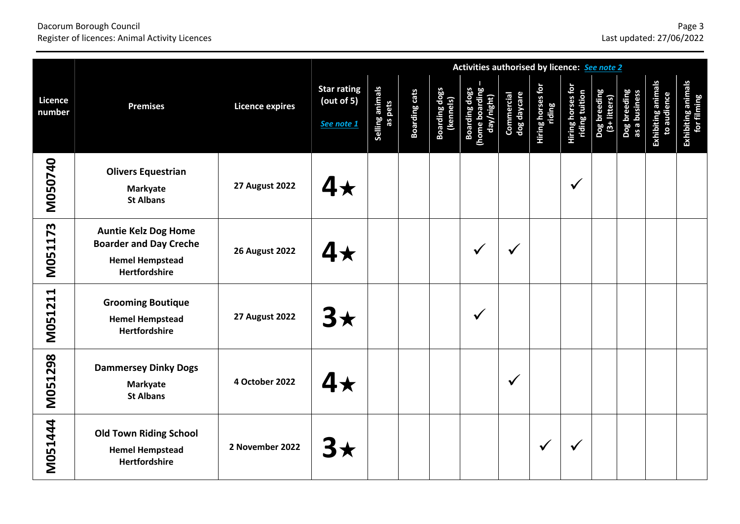#### Page 3<br>
Page 3<br>
Register of licences: Animal Activity Licences Register of licences: Animal Activity Licences

|                   |                                                                                                         |                        |                                                |                            |                      |                                   | Activities authorised by licence: See note 2    |                          |                             |                                            |                               |                               |                                   |                                   |
|-------------------|---------------------------------------------------------------------------------------------------------|------------------------|------------------------------------------------|----------------------------|----------------------|-----------------------------------|-------------------------------------------------|--------------------------|-----------------------------|--------------------------------------------|-------------------------------|-------------------------------|-----------------------------------|-----------------------------------|
| Licence<br>number | <b>Premises</b>                                                                                         | <b>Licence expires</b> | <b>Star rating</b><br>(out of 5)<br>See note 1 | Selling animals<br>as pets | <b>Boarding cats</b> | <b>Boarding dogs</b><br>(kennels) | Boarding dogs<br>(home boarding -<br>day/night) | Commercial<br>dog daycar | Hiring horses for<br>riding | <b>Hiring horses for</b><br>riding tuition | Dog breeding<br>$(3 + 1)$ itt | Dog breeding<br>as a business | Exhibiting animals<br>to audience | Exhibiting animals<br>for filming |
| M050740           | <b>Olivers Equestrian</b><br><b>Markyate</b><br><b>St Albans</b>                                        | <b>27 August 2022</b>  | $4\star$                                       |                            |                      |                                   |                                                 |                          |                             | $\checkmark$                               |                               |                               |                                   |                                   |
| M051173           | <b>Auntie Kelz Dog Home</b><br><b>Boarder and Day Creche</b><br><b>Hemel Hempstead</b><br>Hertfordshire | <b>26 August 2022</b>  | 4★                                             |                            |                      |                                   |                                                 |                          |                             |                                            |                               |                               |                                   |                                   |
| <b>M051211</b>    | <b>Grooming Boutique</b><br><b>Hemel Hempstead</b><br>Hertfordshire                                     | <b>27 August 2022</b>  | $3\star$                                       |                            |                      |                                   |                                                 |                          |                             |                                            |                               |                               |                                   |                                   |
| <b>M051298</b>    | <b>Dammersey Dinky Dogs</b><br><b>Markyate</b><br><b>St Albans</b>                                      | 4 October 2022         | $4\star$                                       |                            |                      |                                   |                                                 |                          |                             |                                            |                               |                               |                                   |                                   |
| <b>M051444</b>    | <b>Old Town Riding School</b><br><b>Hemel Hempstead</b><br>Hertfordshire                                | 2 November 2022        |                                                |                            |                      |                                   |                                                 |                          | $\checkmark$                | V                                          |                               |                               |                                   |                                   |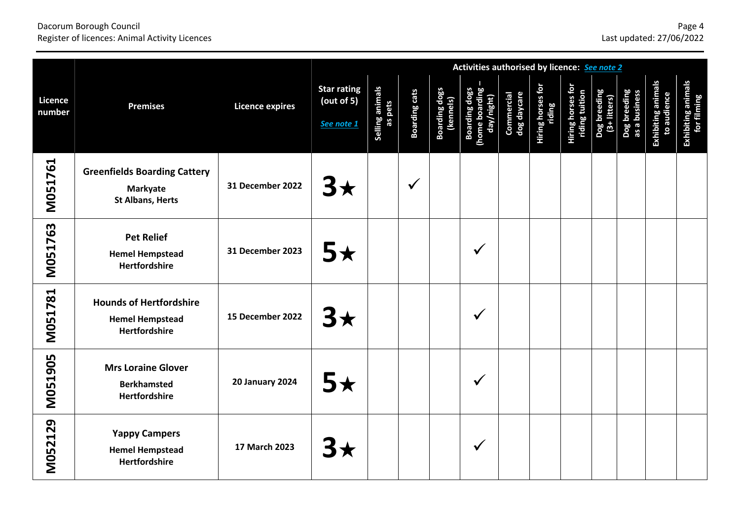#### Page 4<br>
Dacorum Borough Council Page 4<br>
Register of licences: Animal Activity Licences Register of licences: Animal Activity Licences

|                          |                                                                                   |                        |                                                |                            |                      |                            | Activities authorised by licence: See note 2    |                          |                             |                                     |                             |                               |                                          |                                   |
|--------------------------|-----------------------------------------------------------------------------------|------------------------|------------------------------------------------|----------------------------|----------------------|----------------------------|-------------------------------------------------|--------------------------|-----------------------------|-------------------------------------|-----------------------------|-------------------------------|------------------------------------------|-----------------------------------|
| <b>Licence</b><br>number | <b>Premises</b>                                                                   | <b>Licence expires</b> | <b>Star rating</b><br>(out of 5)<br>See note 1 | Selling animals<br>as pets | <b>Boarding cats</b> | Boarding dogs<br>(kennels) | Boarding dogs<br>(home boarding -<br>day/night) | Commercial<br>dog daycar | Hiring horses for<br>riding | Hiring horses for<br>riding tuition | Dog breeding<br>$(3 +$ litt | Dog breeding<br>as a business | <b>Exhibiting animals</b><br>to audience | Exhibiting animals<br>for filming |
| <b>M051761</b>           | <b>Greenfields Boarding Cattery</b><br><b>Markyate</b><br><b>St Albans, Herts</b> | 31 December 2022       | $3\star$                                       |                            |                      |                            |                                                 |                          |                             |                                     |                             |                               |                                          |                                   |
| M051763                  | <b>Pet Relief</b><br><b>Hemel Hempstead</b><br><b>Hertfordshire</b>               | 31 December 2023       | 5★                                             |                            |                      |                            | √                                               |                          |                             |                                     |                             |                               |                                          |                                   |
| <b>M051781</b>           | <b>Hounds of Hertfordshire</b><br><b>Hemel Hempstead</b><br><b>Hertfordshire</b>  | 15 December 2022       | $\mathbf{3} \star$                             |                            |                      |                            |                                                 |                          |                             |                                     |                             |                               |                                          |                                   |
| M051905                  | <b>Mrs Loraine Glover</b><br><b>Berkhamsted</b><br><b>Hertfordshire</b>           | <b>20 January 2024</b> | $5\star$                                       |                            |                      |                            |                                                 |                          |                             |                                     |                             |                               |                                          |                                   |
| <b>M052129</b>           | <b>Yappy Campers</b><br><b>Hemel Hempstead</b><br><b>Hertfordshire</b>            | 17 March 2023          | 3★                                             |                            |                      |                            |                                                 |                          |                             |                                     |                             |                               |                                          |                                   |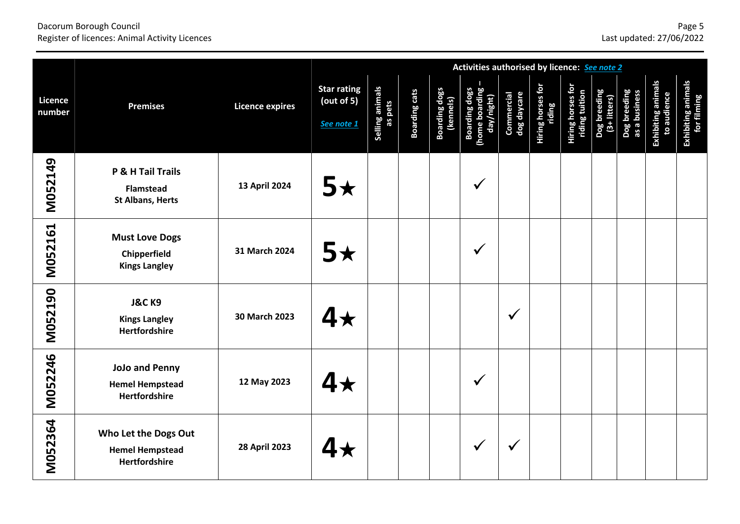#### Page 5<br>
Dacorum Borough Council Page 5<br>
Register of licences: Animal Activity Licences Register of licences: Animal Activity Licences

|                          |                                                                         |                        |                                                |                            |                      |                            | Activities authorised by licence: See note 2    |                          |                             |                                            |                                |                           |                                   |                                   |
|--------------------------|-------------------------------------------------------------------------|------------------------|------------------------------------------------|----------------------------|----------------------|----------------------------|-------------------------------------------------|--------------------------|-----------------------------|--------------------------------------------|--------------------------------|---------------------------|-----------------------------------|-----------------------------------|
| <b>Licence</b><br>number | <b>Premises</b>                                                         | <b>Licence expires</b> | <b>Star rating</b><br>(out of 5)<br>See note 1 | Selling animals<br>as pets | <b>Boarding cats</b> | Boarding dogs<br>(kennels) | Boarding dogs<br>(home boarding -<br>day/night) | Commercial<br>dog daycar | Hiring horses for<br>riding | <b>Hiring horses for</b><br>riding tuition | Dog breeding<br>$(3 + litres)$ | Dog breedin<br>as a busin | Exhibiting animals<br>to audience | Exhibiting animals<br>for filming |
| M052149                  | P & H Tail Trails<br><b>Flamstead</b><br><b>St Albans, Herts</b>        | 13 April 2024          | $5\star$                                       |                            |                      |                            | √                                               |                          |                             |                                            |                                |                           |                                   |                                   |
| M052161                  | <b>Must Love Dogs</b><br>Chipperfield<br><b>Kings Langley</b>           | 31 March 2024          | $5\star$                                       |                            |                      |                            | √                                               |                          |                             |                                            |                                |                           |                                   |                                   |
| <b>M052190</b>           | <b>J&amp;CK9</b><br><b>Kings Langley</b><br><b>Hertfordshire</b>        | 30 March 2023          | $4\star$                                       |                            |                      |                            |                                                 | √                        |                             |                                            |                                |                           |                                   |                                   |
| M052246                  | <b>JoJo and Penny</b><br><b>Hemel Hempstead</b><br><b>Hertfordshire</b> | 12 May 2023            | 4★                                             |                            |                      |                            |                                                 |                          |                             |                                            |                                |                           |                                   |                                   |
| M052364                  | Who Let the Dogs Out<br><b>Hemel Hempstead</b><br><b>Hertfordshire</b>  | 28 April 2023          |                                                |                            |                      |                            |                                                 |                          |                             |                                            |                                |                           |                                   |                                   |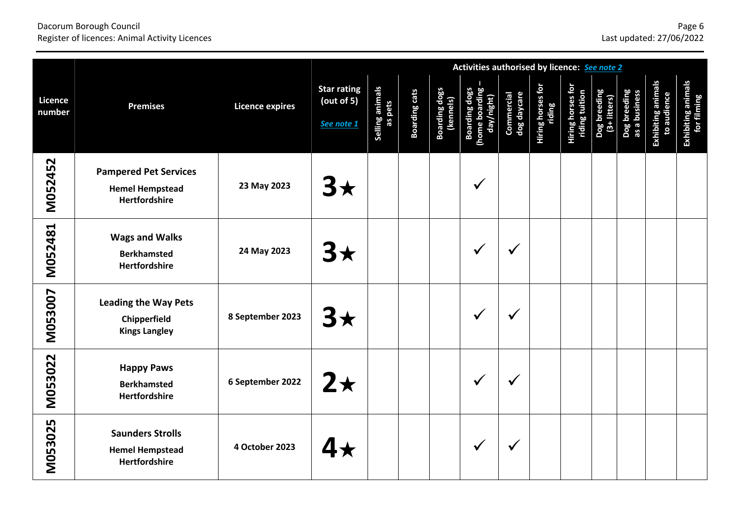#### Page 6<br>
Page 6<br>
Register of licences: Animal Activity Licences Register of licences: Animal Activity Licences

|                   |                                                                                |                        |                                                |                            |                      |                                   | Activities authorised by licence: See note 2  |                           |                             |                                            |                               |                               |                                   |                                   |
|-------------------|--------------------------------------------------------------------------------|------------------------|------------------------------------------------|----------------------------|----------------------|-----------------------------------|-----------------------------------------------|---------------------------|-----------------------------|--------------------------------------------|-------------------------------|-------------------------------|-----------------------------------|-----------------------------------|
| Licence<br>number | <b>Premises</b>                                                                | <b>Licence expires</b> | <b>Star rating</b><br>(out of 5)<br>See note 1 | Selling animals<br>as pets | <b>Boarding cats</b> | <b>Boarding dogs</b><br>(kennels) | Boarding dogs<br>(home boarding<br>day/night) | Commercial<br>dog daycare | Hiring horses for<br>riding | <b>Hiring horses for</b><br>riding tuition | Dog breeding<br>$(3 +$ litter | Dog breeding<br>as a business | Exhibiting animals<br>to audience | Exhibiting animals<br>for filming |
| <b>M052452</b>    | <b>Pampered Pet Services</b><br><b>Hemel Hempstead</b><br><b>Hertfordshire</b> | 23 May 2023            | $3\star$                                       |                            |                      |                                   |                                               |                           |                             |                                            |                               |                               |                                   |                                   |
| <b>M052481</b>    | <b>Wags and Walks</b><br><b>Berkhamsted</b><br><b>Hertfordshire</b>            | 24 May 2023            | $3\star$                                       |                            |                      |                                   |                                               |                           |                             |                                            |                               |                               |                                   |                                   |
| M053007           | <b>Leading the Way Pets</b><br>Chipperfield<br><b>Kings Langley</b>            | 8 September 2023       | $3\star$                                       |                            |                      |                                   |                                               |                           |                             |                                            |                               |                               |                                   |                                   |
| M053022           | <b>Happy Paws</b><br><b>Berkhamsted</b><br><b>Hertfordshire</b>                | 6 September 2022       | $2\star$                                       |                            |                      |                                   |                                               |                           |                             |                                            |                               |                               |                                   |                                   |
| M053025           | <b>Saunders Strolls</b><br><b>Hemel Hempstead</b><br><b>Hertfordshire</b>      | 4 October 2023         |                                                |                            |                      |                                   |                                               |                           |                             |                                            |                               |                               |                                   |                                   |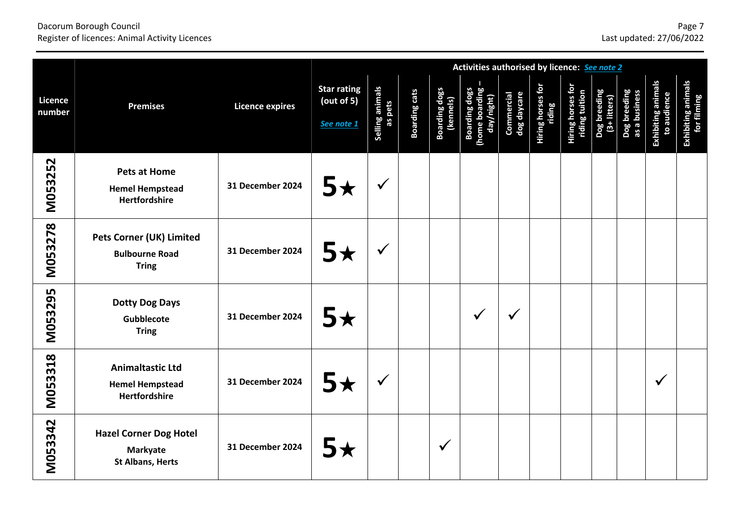#### Page 7<br>
Dacorum Borough Council Page 7<br>
Last updated: 27/06/2022 Register of licences: Animal Activity Licences

|                   |                                                                             |                         |                                                |                            |                      |                                   | Activities authorised by licence: See note 2 |                          |                             |                                            |                                         |                                    |                                   |                                   |
|-------------------|-----------------------------------------------------------------------------|-------------------------|------------------------------------------------|----------------------------|----------------------|-----------------------------------|----------------------------------------------|--------------------------|-----------------------------|--------------------------------------------|-----------------------------------------|------------------------------------|-----------------------------------|-----------------------------------|
| Licence<br>number | <b>Premises</b>                                                             | <b>Licence expires</b>  | <b>Star rating</b><br>(out of 5)<br>See note 1 | Selling animals<br>as pets | <b>Boarding cats</b> | <b>Boarding dogs</b><br>(kennels) | (home boarding<br>Boarding do<br>day/night)  | Commercia<br>dog daycare | Hiring horses for<br>riding | <b>Hiring horses for</b><br>riding tuition | Dog breeding<br>$\overline{\mathbf{3}}$ | edin<br>busi<br>Dog bre<br>as a bu | Exhibiting animals<br>to audience | Exhibiting animals<br>for filming |
| <b>M053252</b>    | <b>Pets at Home</b><br><b>Hemel Hempstead</b><br>Hertfordshire              | <b>31 December 2024</b> | $5\star$                                       | $\checkmark$               |                      |                                   |                                              |                          |                             |                                            |                                         |                                    |                                   |                                   |
| M053278           | <b>Pets Corner (UK) Limited</b><br><b>Bulbourne Road</b><br><b>Tring</b>    | 31 December 2024        | $5\star$                                       | $\checkmark$               |                      |                                   |                                              |                          |                             |                                            |                                         |                                    |                                   |                                   |
| M053295           | <b>Dotty Dog Days</b><br>Gubblecote<br><b>Tring</b>                         | 31 December 2024        | $5\star$                                       |                            |                      |                                   |                                              |                          |                             |                                            |                                         |                                    |                                   |                                   |
| M053318           | <b>Animaltastic Ltd</b><br><b>Hemel Hempstead</b><br>Hertfordshire          | 31 December 2024        | 5★                                             | $\checkmark$               |                      |                                   |                                              |                          |                             |                                            |                                         |                                    | √                                 |                                   |
| M053342           | <b>Hazel Corner Dog Hotel</b><br><b>Markyate</b><br><b>St Albans, Herts</b> | 31 December 2024        | $5\star$                                       |                            |                      | $\checkmark$                      |                                              |                          |                             |                                            |                                         |                                    |                                   |                                   |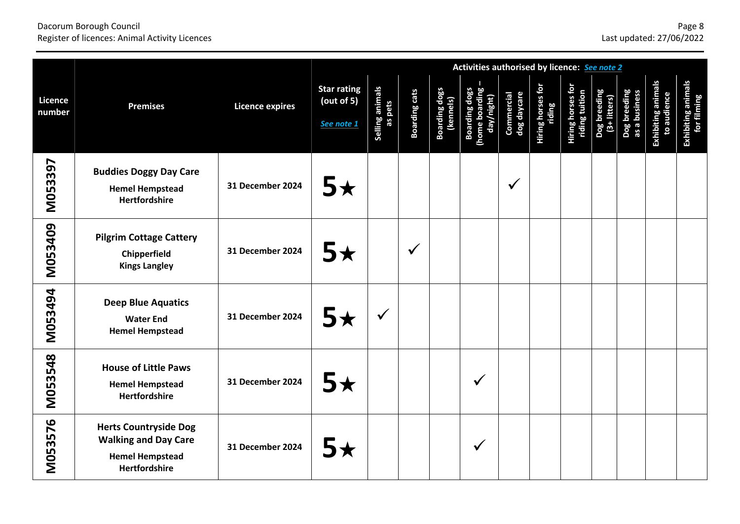### Page 8<br>
Dacorum Borough Council Page 8<br>
Register of licences: Animal Activity Licences Register of licences: Animal Activity Licences

|                   |                                                                                                               |                        |                                                |                            |                      |                                   | Activities authorised by licence: See note 2    |                          |                             |                                     |                              |                               |                                   |                                   |
|-------------------|---------------------------------------------------------------------------------------------------------------|------------------------|------------------------------------------------|----------------------------|----------------------|-----------------------------------|-------------------------------------------------|--------------------------|-----------------------------|-------------------------------------|------------------------------|-------------------------------|-----------------------------------|-----------------------------------|
| Licence<br>number | <b>Premises</b>                                                                                               | <b>Licence expires</b> | <b>Star rating</b><br>(out of 5)<br>See note 1 | Selling animals<br>as pets | <b>Boarding cats</b> | <b>Boarding dogs</b><br>(kennels) | Boarding dogs<br>(home boarding -<br>day/night) | Commercial<br>dog daycaı | Hiring horses for<br>riding | Hiring horses for<br>riding tuition | Dog breeding<br>(3+ litters) | Dog breeding<br>as a business | Exhibiting animals<br>to audience | Exhibiting animals<br>for filming |
| M053397           | <b>Buddies Doggy Day Care</b><br><b>Hemel Hempstead</b><br><b>Hertfordshire</b>                               | 31 December 2024       | $5\star$                                       |                            |                      |                                   |                                                 |                          |                             |                                     |                              |                               |                                   |                                   |
| M053409           | <b>Pilgrim Cottage Cattery</b><br>Chipperfield<br><b>Kings Langley</b>                                        | 31 December 2024       | $5\star$                                       |                            | v                    |                                   |                                                 |                          |                             |                                     |                              |                               |                                   |                                   |
| M053494           | <b>Deep Blue Aquatics</b><br><b>Water End</b><br><b>Hemel Hempstead</b>                                       | 31 December 2024       | 5★                                             | √                          |                      |                                   |                                                 |                          |                             |                                     |                              |                               |                                   |                                   |
| M053548           | <b>House of Little Paws</b><br><b>Hemel Hempstead</b><br><b>Hertfordshire</b>                                 | 31 December 2024       | $5\star$                                       |                            |                      |                                   |                                                 |                          |                             |                                     |                              |                               |                                   |                                   |
| M053576           | <b>Herts Countryside Dog</b><br><b>Walking and Day Care</b><br><b>Hemel Hempstead</b><br><b>Hertfordshire</b> | 31 December 2024       | 5★                                             |                            |                      |                                   |                                                 |                          |                             |                                     |                              |                               |                                   |                                   |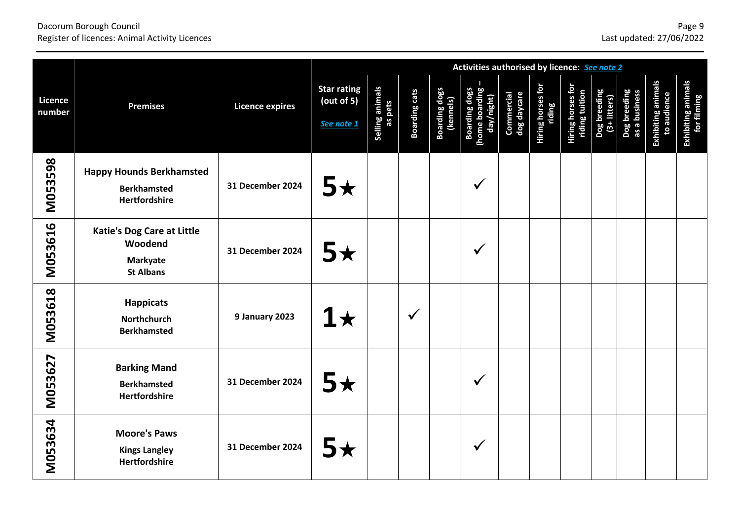### Page 9<br>
Dacorum Borough Council Page 9<br>
Last updated: 27/06/2022 Register of licences: Animal Activity Licences

|                   |                                                                               |                        |                                                |                            |                      |                                   | Activities authorised by licence: See note 2        |                           |                             |                                     |                              |                                      |                                   |                                   |
|-------------------|-------------------------------------------------------------------------------|------------------------|------------------------------------------------|----------------------------|----------------------|-----------------------------------|-----------------------------------------------------|---------------------------|-----------------------------|-------------------------------------|------------------------------|--------------------------------------|-----------------------------------|-----------------------------------|
| Licence<br>number | <b>Premises</b>                                                               | <b>Licence expires</b> | <b>Star rating</b><br>(out of 5)<br>See note 1 | Selling animals<br>as pets | <b>Boarding cats</b> | <b>Boarding dogs</b><br>(kennels) | (home boarding<br><b>Boarding dog</b><br>day/night) | Commercial<br>dog daycare | Hiring horses for<br>riding | Hiring horses for<br>riding tuition | Dog breeding<br>(3+ litters) | ading<br>Dog breedin<br>as a busines | Exhibiting animals<br>to audience | Exhibiting animals<br>for filming |
| M053598           | <b>Happy Hounds Berkhamsted</b><br><b>Berkhamsted</b><br><b>Hertfordshire</b> | 31 December 2024       | $5\star$                                       |                            |                      |                                   | √                                                   |                           |                             |                                     |                              |                                      |                                   |                                   |
| M053616           | Katie's Dog Care at Little<br>Woodend<br><b>Markyate</b><br><b>St Albans</b>  | 31 December 2024       | $5\star$                                       |                            |                      |                                   | ✓                                                   |                           |                             |                                     |                              |                                      |                                   |                                   |
| M053618           | <b>Happicats</b><br>Northchurch<br><b>Berkhamsted</b>                         | 9 January 2023         | $1\star$                                       |                            | $\checkmark$         |                                   |                                                     |                           |                             |                                     |                              |                                      |                                   |                                   |
| M053627           | <b>Barking Mand</b><br><b>Berkhamsted</b><br><b>Hertfordshire</b>             | 31 December 2024       | $5\star$                                       |                            |                      |                                   |                                                     |                           |                             |                                     |                              |                                      |                                   |                                   |
| M053634           | <b>Moore's Paws</b><br><b>Kings Langley</b><br><b>Hertfordshire</b>           | 31 December 2024       | $5\star$                                       |                            |                      |                                   | √                                                   |                           |                             |                                     |                              |                                      |                                   |                                   |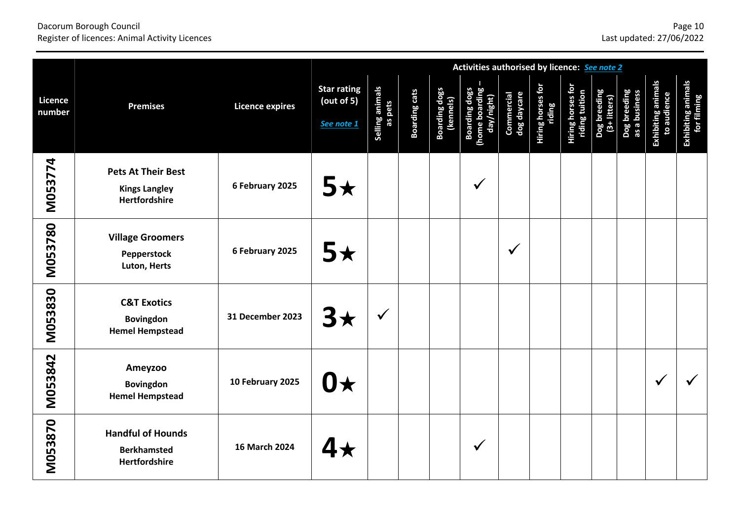#### Page 10<br>
Page 10<br>
Register of licences: Animal Activity Licences Register of licences: Animal Activity Licences

|                   |                                                                           |                        |                                                |                            |                      |                                   | Activities authorised by licence: See note 2    |                           |                             |                                            |                           |                               |                                   |                                   |
|-------------------|---------------------------------------------------------------------------|------------------------|------------------------------------------------|----------------------------|----------------------|-----------------------------------|-------------------------------------------------|---------------------------|-----------------------------|--------------------------------------------|---------------------------|-------------------------------|-----------------------------------|-----------------------------------|
| Licence<br>number | <b>Premises</b>                                                           | <b>Licence expires</b> | <b>Star rating</b><br>(out of 5)<br>See note 1 | Selling animals<br>as pets | <b>Boarding cats</b> | <b>Boarding dogs</b><br>(kennels) | Boarding dogs<br>(home boarding -<br>day/night) | Commercial<br>dog daycare | Hiring horses for<br>riding | <b>Hiring horses for</b><br>riding tuition | Dog breeding<br>$(3 + i)$ | Dog breeding<br>as a business | Exhibiting animals<br>to audience | Exhibiting animals<br>for filming |
| M053774           | <b>Pets At Their Best</b><br><b>Kings Langley</b><br><b>Hertfordshire</b> | 6 February 2025        | $5\star$                                       |                            |                      |                                   | ✓                                               |                           |                             |                                            |                           |                               |                                   |                                   |
| M053780           | <b>Village Groomers</b><br>Pepperstock<br>Luton, Herts                    | 6 February 2025        | $5\star$                                       |                            |                      |                                   |                                                 | $\checkmark$              |                             |                                            |                           |                               |                                   |                                   |
| M053830           | <b>C&amp;T Exotics</b><br><b>Bovingdon</b><br><b>Hemel Hempstead</b>      | 31 December 2023       | $\mathbf{3} \star$                             | $\checkmark$               |                      |                                   |                                                 |                           |                             |                                            |                           |                               |                                   |                                   |
| M053842           | Ameyzoo<br><b>Bovingdon</b><br><b>Hemel Hempstead</b>                     | 10 February 2025       | $0\star$                                       |                            |                      |                                   |                                                 |                           |                             |                                            |                           |                               | $\checkmark$                      |                                   |
| M053870           | <b>Handful of Hounds</b><br><b>Berkhamsted</b><br>Hertfordshire           | 16 March 2024          |                                                |                            |                      |                                   |                                                 |                           |                             |                                            |                           |                               |                                   |                                   |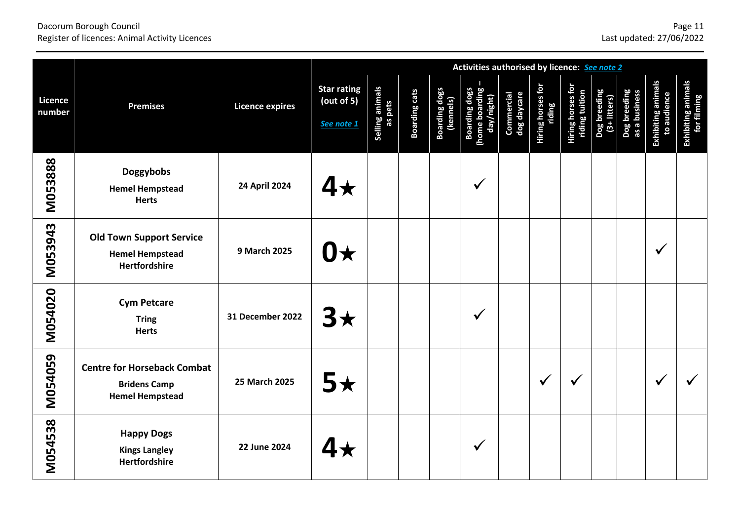## Page 11<br>
Page 11<br>
Register of licences: Animal Activity Licences Register of licences: Animal Activity Licences

|                          |                                                                                     | Activities authorised by licence: See note 2 |                                                |                            |                      |                                   |                                                 |                           |                             |                                            |                                            |                               |                                   |                                   |
|--------------------------|-------------------------------------------------------------------------------------|----------------------------------------------|------------------------------------------------|----------------------------|----------------------|-----------------------------------|-------------------------------------------------|---------------------------|-----------------------------|--------------------------------------------|--------------------------------------------|-------------------------------|-----------------------------------|-----------------------------------|
| <b>Licence</b><br>number | <b>Premises</b>                                                                     | <b>Licence expires</b>                       | <b>Star rating</b><br>(out of 5)<br>See note 1 | Selling animals<br>as pets | <b>Boarding cats</b> | <b>Boarding dogs</b><br>(kennels) | Boarding dogs<br>(home boarding -<br>day/night) | Commercial<br>dog daycare | Hiring horses for<br>riding | <b>Hiring horses for</b><br>riding tuition | Dog breeding<br>litters)<br>$\overline{1}$ | Dog breeding<br>as a business | Exhibiting animals<br>to audience | Exhibiting animals<br>for filming |
| M053888                  | <b>Doggybobs</b><br><b>Hemel Hempstead</b><br><b>Herts</b>                          | 24 April 2024                                | $4\star$                                       |                            |                      |                                   | ✔                                               |                           |                             |                                            |                                            |                               |                                   |                                   |
| M053943                  | <b>Old Town Support Service</b><br><b>Hemel Hempstead</b><br>Hertfordshire          | 9 March 2025                                 | $\mathbf{0} \star$                             |                            |                      |                                   |                                                 |                           |                             |                                            |                                            |                               | $\checkmark$                      |                                   |
| <b>M054020</b>           | <b>Cym Petcare</b><br><b>Tring</b><br><b>Herts</b>                                  | <b>31 December 2022</b>                      | $3\star$                                       |                            |                      |                                   | √                                               |                           |                             |                                            |                                            |                               |                                   |                                   |
| M054059                  | <b>Centre for Horseback Combat</b><br><b>Bridens Camp</b><br><b>Hemel Hempstead</b> | 25 March 2025                                | $5\star$                                       |                            |                      |                                   |                                                 |                           | ✔                           |                                            |                                            |                               |                                   |                                   |
| <b>M054538</b>           | <b>Happy Dogs</b><br><b>Kings Langley</b><br>Hertfordshire                          | 22 June 2024                                 |                                                |                            |                      |                                   |                                                 |                           |                             |                                            |                                            |                               |                                   |                                   |